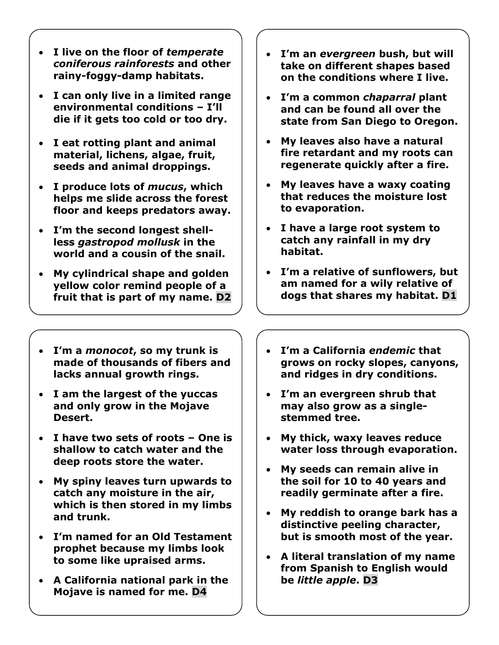- **I live on the floor of** *temperate coniferous rainforests* **and other rainy-foggy-damp habitats.**
- **I can only live in a limited range environmental conditions – I'll die if it gets too cold or too dry.**
- **I eat rotting plant and animal material, lichens, algae, fruit, seeds and animal droppings.**
- **I produce lots of** *mucus***, which helps me slide across the forest floor and keeps predators away.**
- **I'm the second longest shellless** *gastropod mollusk* **in the world and a cousin of the snail.**
- **My cylindrical shape and golden yellow color remind people of a fruit that is part of my name. D2**
- **I'm a** *monocot***, so my trunk is made of thousands of fibers and lacks annual growth rings.**
- **I am the largest of the yuccas and only grow in the Mojave Desert.**
- **I have two sets of roots – One is shallow to catch water and the deep roots store the water.**
- **My spiny leaves turn upwards to catch any moisture in the air, which is then stored in my limbs and trunk.**
- **I'm named for an Old Testament prophet because my limbs look to some like upraised arms.**
- **A California national park in the Mojave is named for me. D4**
- **I'm an** *evergreen* **bush, but will take on different shapes based on the conditions where I live.**
- **I'm a common** *chaparral* **plant and can be found all over the state from San Diego to Oregon.**
- **My leaves also have a natural fire retardant and my roots can regenerate quickly after a fire.**
- **My leaves have a waxy coating that reduces the moisture lost to evaporation.**
- **I have a large root system to catch any rainfall in my dry habitat.**
- **I'm a relative of sunflowers, but am named for a wily relative of dogs that shares my habitat. D1**
- **I'm a California** *endemic* **that grows on rocky slopes, canyons, and ridges in dry conditions.**
- **I'm an evergreen shrub that may also grow as a singlestemmed tree.**
- **My thick, waxy leaves reduce water loss through evaporation.**
- **My seeds can remain alive in the soil for 10 to 40 years and readily germinate after a fire.**
- **My reddish to orange bark has a distinctive peeling character, but is smooth most of the year.**
- **A literal translation of my name from Spanish to English would be** *little apple***. D3**